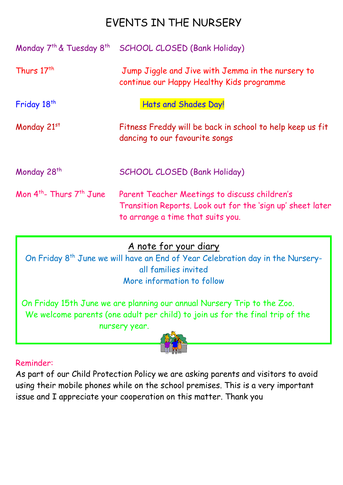# EVENTS IN THE NURSERY

| Monday 7 <sup>th</sup> & Tuesday 8 <sup>th</sup> | <b>SCHOOL CLOSED (Bank Holiday)</b>                                                                                                              |
|--------------------------------------------------|--------------------------------------------------------------------------------------------------------------------------------------------------|
| Thurs 17 <sup>th</sup>                           | Jump Jiggle and Jive with Jemma in the nursery to<br>continue our Happy Healthy Kids programme                                                   |
| Friday 18 <sup>th</sup>                          | Hats and Shades Day!                                                                                                                             |
| Monday 21st                                      | Fitness Freddy will be back in school to help keep us fit<br>dancing to our favourite songs                                                      |
| Monday 28 <sup>th</sup>                          | <b>SCHOOL CLOSED (Bank Holiday)</b>                                                                                                              |
| Mon $4th$ - Thurs $7th$ June                     | Parent Teacher Meetings to discuss children's<br>Transition Reports. Look out for the 'sign up' sheet later<br>to arrange a time that suits you. |

## A note for your diary

On Friday 8<sup>th</sup> June we will have an End of Year Celebration day in the Nurseryall families invited More information to follow

On Friday 15th June we are planning our annual Nursery Trip to the Zoo. We welcome parents (one adult per child) to join us for the final trip of the nursery year.



## Reminder:

As part of our Child Protection Policy we are asking parents and visitors to avoid using their mobile phones while on the school premises. This is a very important issue and I appreciate your cooperation on this matter. Thank you